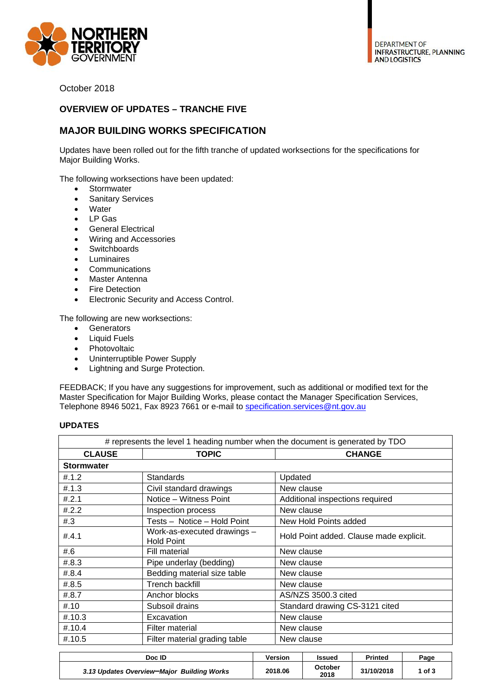

October 2018

## **OVERVIEW OF UPDATES – TRANCHE FIVE**

## **MAJOR BUILDING WORKS SPECIFICATION**

Updates have been rolled out for the fifth tranche of updated worksections for the specifications for Major Building Works.

The following worksections have been updated:

- Stormwater
- **•** Sanitary Services
- Water
- LP Gas
- General Electrical
- Wiring and Accessories
- Switchboards
- **•** Luminaires
- Communications
- Master Antenna
- Fire Detection
- Electronic Security and Access Control.

The following are new worksections:

- Generators
- Liquid Fuels
- Photovoltaic
- Uninterruptible Power Supply
- Lightning and Surge Protection.

FEEDBACK; If you have any suggestions for improvement, such as additional or modified text for the Master Specification for Major Building Works, please contact the Manager Specification Services, Telephone 8946 5021, Fax 8923 7661 or e-mail to specification.services@nt.gov.au

## **UPDATES**

| # represents the level 1 heading number when the document is generated by TDO |                                                  |                                         |  |  |  |
|-------------------------------------------------------------------------------|--------------------------------------------------|-----------------------------------------|--|--|--|
| <b>CLAUSE</b>                                                                 | <b>TOPIC</b>                                     | <b>CHANGE</b>                           |  |  |  |
| <b>Stormwater</b>                                                             |                                                  |                                         |  |  |  |
| #.1.2                                                                         | <b>Standards</b>                                 | Updated                                 |  |  |  |
| #.1.3                                                                         | Civil standard drawings                          | New clause                              |  |  |  |
| #.2.1                                                                         | Notice - Witness Point                           | Additional inspections required         |  |  |  |
| #.2.2                                                                         | Inspection process                               | New clause                              |  |  |  |
| #3                                                                            | Tests - Notice - Hold Point                      | New Hold Points added                   |  |  |  |
| #.4.1                                                                         | Work-as-executed drawings -<br><b>Hold Point</b> | Hold Point added. Clause made explicit. |  |  |  |
| #6                                                                            | Fill material                                    | New clause                              |  |  |  |
| #.8.3                                                                         | Pipe underlay (bedding)                          | New clause                              |  |  |  |
| #.8.4                                                                         | Bedding material size table                      | New clause                              |  |  |  |
| #.8.5                                                                         | Trench backfill                                  | New clause                              |  |  |  |
| #.8.7                                                                         | Anchor blocks                                    | AS/NZS 3500.3 cited                     |  |  |  |
| #.10                                                                          | Subsoil drains                                   | Standard drawing CS-3121 cited          |  |  |  |
| $\#.10.3$                                                                     | Excavation                                       | New clause                              |  |  |  |
| #.10.4                                                                        | <b>Filter material</b>                           | New clause                              |  |  |  |
| #.10.5                                                                        | Filter material grading table                    | New clause                              |  |  |  |

| Doc ID                                     | Version | <b>Issued</b>   | Printed    | Page   |
|--------------------------------------------|---------|-----------------|------------|--------|
| 3.13 Updates Overview-Major Building Works | 2018.06 | October<br>2018 | 31/10/2018 | 1 of 3 |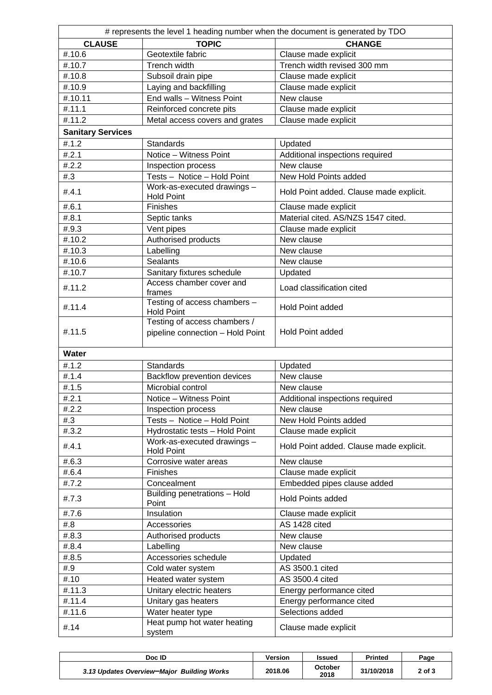| # represents the level 1 heading number when the document is generated by TDO |                                                                  |                                         |  |  |  |
|-------------------------------------------------------------------------------|------------------------------------------------------------------|-----------------------------------------|--|--|--|
| <b>CLAUSE</b>                                                                 | <b>TOPIC</b>                                                     | <b>CHANGE</b>                           |  |  |  |
| #.10.6                                                                        | Geotextile fabric                                                | Clause made explicit                    |  |  |  |
| #.10.7                                                                        | Trench width                                                     | Trench width revised 300 mm             |  |  |  |
| #.10.8                                                                        | Subsoil drain pipe                                               | Clause made explicit                    |  |  |  |
| #.10.9                                                                        | Laying and backfilling                                           | Clause made explicit                    |  |  |  |
| #.10.11                                                                       | End walls - Witness Point                                        | New clause                              |  |  |  |
| #.11.1                                                                        | Reinforced concrete pits                                         | Clause made explicit                    |  |  |  |
| #.11.2                                                                        | Metal access covers and grates                                   | Clause made explicit                    |  |  |  |
| <b>Sanitary Services</b>                                                      |                                                                  |                                         |  |  |  |
| #.1.2                                                                         | <b>Standards</b>                                                 | Updated                                 |  |  |  |
| #.2.1                                                                         | Notice - Witness Point                                           | Additional inspections required         |  |  |  |
| #.2.2                                                                         | Inspection process                                               | New clause                              |  |  |  |
| #3                                                                            | Tests - Notice - Hold Point                                      | New Hold Points added                   |  |  |  |
| #.4.1                                                                         | Work-as-executed drawings -<br><b>Hold Point</b>                 | Hold Point added. Clause made explicit. |  |  |  |
| #.6.1                                                                         | <b>Finishes</b>                                                  | Clause made explicit                    |  |  |  |
| #.8.1                                                                         | Septic tanks                                                     | Material cited. AS/NZS 1547 cited.      |  |  |  |
| #.9.3                                                                         | Vent pipes                                                       | Clause made explicit                    |  |  |  |
| #.10.2                                                                        | Authorised products                                              | New clause                              |  |  |  |
| #.10.3                                                                        | Labelling                                                        | New clause                              |  |  |  |
| #.10.6                                                                        | <b>Sealants</b>                                                  | New clause                              |  |  |  |
| #.10.7                                                                        | Sanitary fixtures schedule                                       | Updated                                 |  |  |  |
| #.11.2                                                                        | Access chamber cover and<br>frames                               | Load classification cited               |  |  |  |
| #.11.4                                                                        | Testing of access chambers -<br><b>Hold Point</b>                | <b>Hold Point added</b>                 |  |  |  |
| #.11.5                                                                        | Testing of access chambers /<br>pipeline connection - Hold Point | <b>Hold Point added</b>                 |  |  |  |
| Water                                                                         |                                                                  |                                         |  |  |  |
| #.1.2                                                                         | <b>Standards</b>                                                 | Updated                                 |  |  |  |
| #.1.4                                                                         | Backflow prevention devices                                      | New clause                              |  |  |  |
| #.1.5                                                                         | Microbial control                                                | New clause                              |  |  |  |
| #.2.1                                                                         | Notice - Witness Point                                           | Additional inspections required         |  |  |  |
| #.2.2                                                                         | Inspection process                                               | New clause                              |  |  |  |
| #.3                                                                           | Tests - Notice - Hold Point                                      | New Hold Points added                   |  |  |  |
| #.3.2                                                                         | Hydrostatic tests - Hold Point                                   | Clause made explicit                    |  |  |  |
| #.4.1                                                                         | Work-as-executed drawings -<br><b>Hold Point</b>                 | Hold Point added. Clause made explicit. |  |  |  |
| #.6.3                                                                         | Corrosive water areas                                            | New clause                              |  |  |  |
| #.6.4                                                                         | <b>Finishes</b>                                                  | Clause made explicit                    |  |  |  |
| #.7.2                                                                         | Concealment                                                      | Embedded pipes clause added             |  |  |  |
| #.7.3                                                                         | Building penetrations - Hold<br>Point                            | <b>Hold Points added</b>                |  |  |  |
| #.7.6                                                                         | Insulation                                                       | Clause made explicit                    |  |  |  |
| #.8                                                                           | Accessories                                                      | AS 1428 cited                           |  |  |  |
| #.8.3                                                                         | Authorised products                                              | New clause                              |  |  |  |
| #.8.4                                                                         | Labelling                                                        | New clause                              |  |  |  |
| #.8.5                                                                         | Accessories schedule                                             | Updated                                 |  |  |  |
| #.9                                                                           | Cold water system                                                | AS 3500.1 cited                         |  |  |  |
| #.10                                                                          | Heated water system                                              | AS 3500.4 cited                         |  |  |  |
| #.11.3                                                                        | Unitary electric heaters                                         | Energy performance cited                |  |  |  |
| #.11.4                                                                        | Unitary gas heaters                                              | Energy performance cited                |  |  |  |
| #.11.6                                                                        | Water heater type<br>Heat pump hot water heating                 | Selections added                        |  |  |  |
| #.14                                                                          | system                                                           | Clause made explicit                    |  |  |  |

| Doc ID                                     | Version | Issued          | <b>Printed</b> | Page   |
|--------------------------------------------|---------|-----------------|----------------|--------|
| 3.13 Updates Overview-Major Building Works | 2018.06 | October<br>2018 | 31/10/2018     | 2 of 3 |